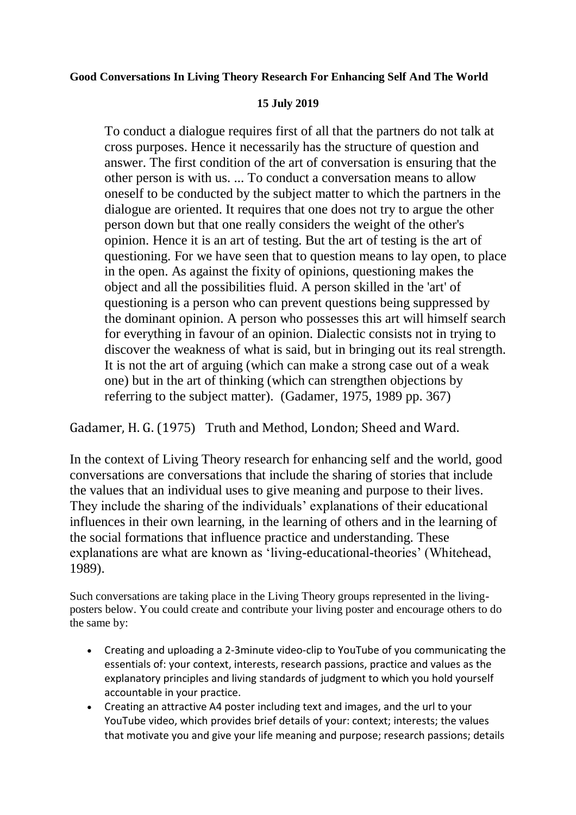## **Good Conversations In Living Theory Research For Enhancing Self And The World**

## **15 July 2019**

To conduct a dialogue requires first of all that the partners do not talk at cross purposes. Hence it necessarily has the structure of question and answer. The first condition of the art of conversation is ensuring that the other person is with us. ... To conduct a conversation means to allow oneself to be conducted by the subject matter to which the partners in the dialogue are oriented. It requires that one does not try to argue the other person down but that one really considers the weight of the other's opinion. Hence it is an art of testing. But the art of testing is the art of questioning. For we have seen that to question means to lay open, to place in the open. As against the fixity of opinions, questioning makes the object and all the possibilities fluid. A person skilled in the 'art' of questioning is a person who can prevent questions being suppressed by the dominant opinion. A person who possesses this art will himself search for everything in favour of an opinion. Dialectic consists not in trying to discover the weakness of what is said, but in bringing out its real strength. It is not the art of arguing (which can make a strong case out of a weak one) but in the art of thinking (which can strengthen objections by referring to the subject matter). (Gadamer, 1975, 1989 pp. 367)

Gadamer, H. G. (1975) Truth and Method, London; Sheed and Ward.

In the context of Living Theory research for enhancing self and the world, good conversations are conversations that include the sharing of stories that include the values that an individual uses to give meaning and purpose to their lives. They include the sharing of the individuals' explanations of their educational influences in their own learning, in the learning of others and in the learning of the social formations that influence practice and understanding. These explanations are what are known as 'living-educational-theories' (Whitehead, 1989).

Such conversations are taking place in the Living Theory groups represented in the livingposters below. You could create and contribute your living poster and encourage others to do the same by:

- Creating and uploading a 2-3minute video-clip to YouTube of you communicating the essentials of: your context, interests, research passions, practice and values as the explanatory principles and living standards of judgment to which you hold yourself accountable in your practice.
- Creating an attractive A4 poster including text and images, and the url to your YouTube video, which provides brief details of your: context; interests; the values that motivate you and give your life meaning and purpose; research passions; details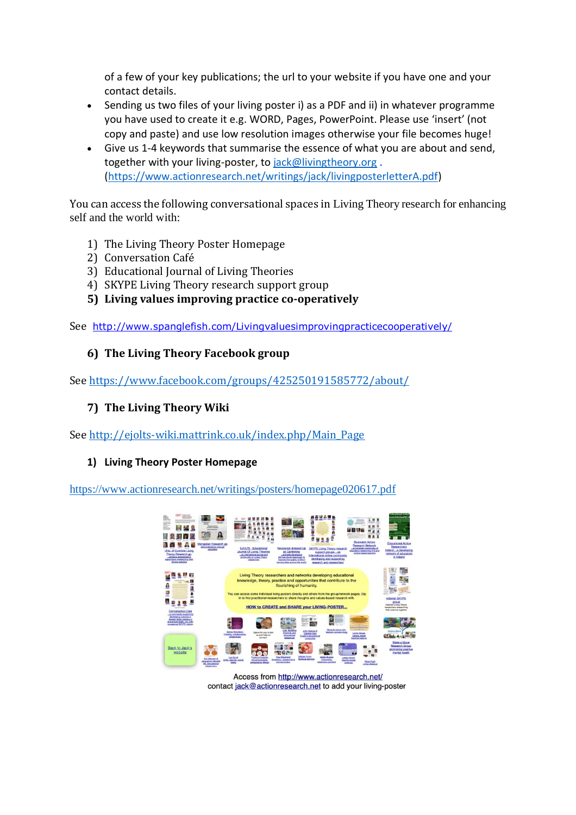of a few of your key publications; the url to your website if you have one and your contact details.

- Sending us two files of your living poster i) as a PDF and ii) in whatever programme you have used to create it e.g. WORD, Pages, PowerPoint. Please use 'insert' (not copy and paste) and use low resolution images otherwise your file becomes huge!
- Give us 1-4 keywords that summarise the essence of what you are about and send, together with your living-poster, to [jack@livingtheory.org](mailto:jack@livingtheory.org). [\(https://www.actionresearch.net/writings/jack/livingposterletterA.pdf\)](https://www.actionresearch.net/writings/jack/livingposterletterA.pdf)

You can access the following conversational spaces in Living Theory research for enhancing self and the world with:

- 1) The Living Theory Poster Homepage
- 2) Conversation Café
- 3) Educational Journal of Living Theories
- 4) SKYPE Living Theory research support group
- **5) Living values improving practice co-operatively**

See <http://www.spanglefish.com/Livingvaluesimprovingpracticecooperatively/>

## **6) The Living Theory Facebook group**

See<https://www.facebook.com/groups/425250191585772/about/>

## **7) The Living Theory Wiki**

See [http://ejolts-wiki.mattrink.co.uk/index.php/Main\\_Page](http://ejolts-wiki.mattrink.co.uk/index.php/Main_Page)

## **1) Living Theory Poster Homepage**

<https://www.actionresearch.net/writings/posters/homepage020617.pdf>



Access from http://www.actionresearch.net/ contact jack@actionresearch.net to add your living-poster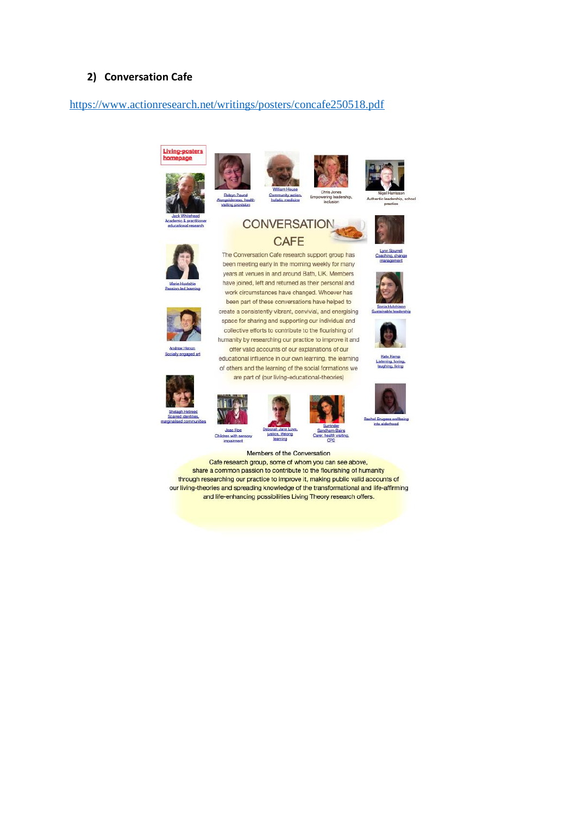#### **2) Conversation Cafe**

#### <https://www.actionresearch.net/writings/posters/concafe250518.pdf>

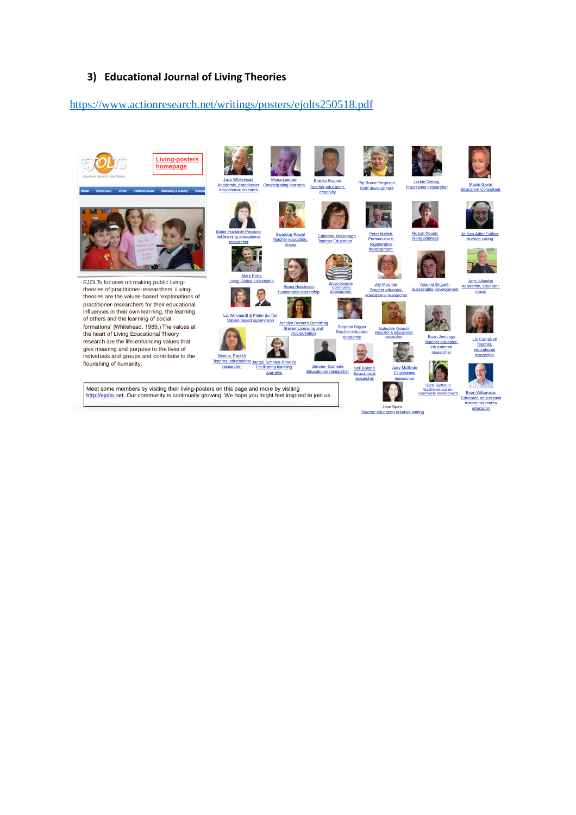#### **3) Educational Journal of Living Theories**

#### <https://www.actionresearch.net/writings/posters/ejolts250518.pdf>

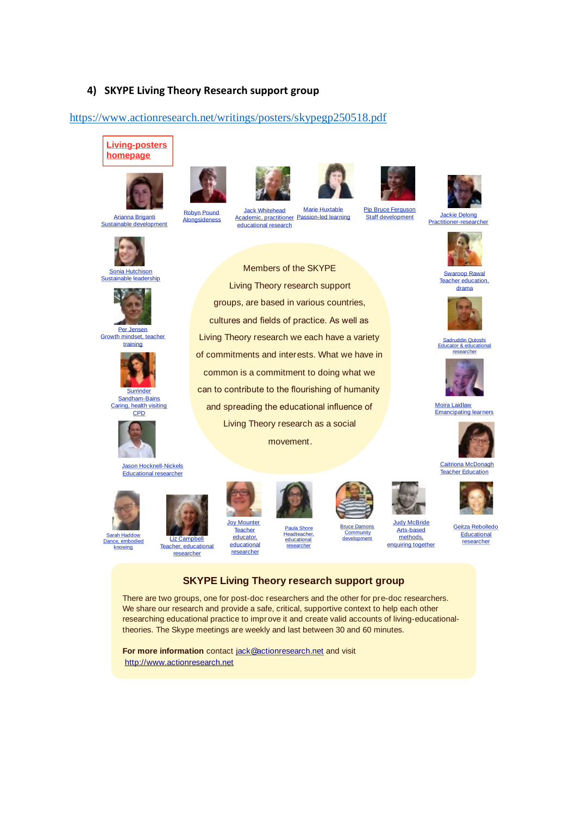#### **4) SKYPE Living Theory Research support group**

Robyn Pound **Alongsideness** 

#### <https://www.actionresearch.net/writings/posters/skypegp250518.pdf>

Jack Whitehead Academic, practitioner **Example:**<br> **Cademic, practitioner**<br> **Educational research** 

Members of the SKYPE Living Theory research support groups, are based in various countries, cultures and fields of practice. As well as Living Theory research we each have a variety of commitments and interests. What we have in common is a commitment to doing what we can to contribute to the flourishing of humanity and spreading the educational influence of Living Theory research as a social movement.

Marie Huxtable Passion-led learning Pip Bruce Ferguson

# **Living-posters homepage**

















**Surrinder** Sandham-Bains Caring, health visiting **CPD** 































#### **SKYPE Living Theory research support group**

There are two groups, one for post-doc researchers and the other for pre-doc researchers. We share our research and provide a safe, critical, supportive context to help each other researching educational practice to improve it and create valid accounts of living-educationaltheories. The Skype meetings are weekly and last between 30 and 60 minutes.

**For more information** contact jack@actionresearch.net and visit http://www.actionresearch.net







Swaroop Rawal Teacher education, drama



Sadruddin Qutoshi Educator & educational researcher



Moira Laidlaw Emancipating learners







**Educational** researcher

# Geitza Rebolledo